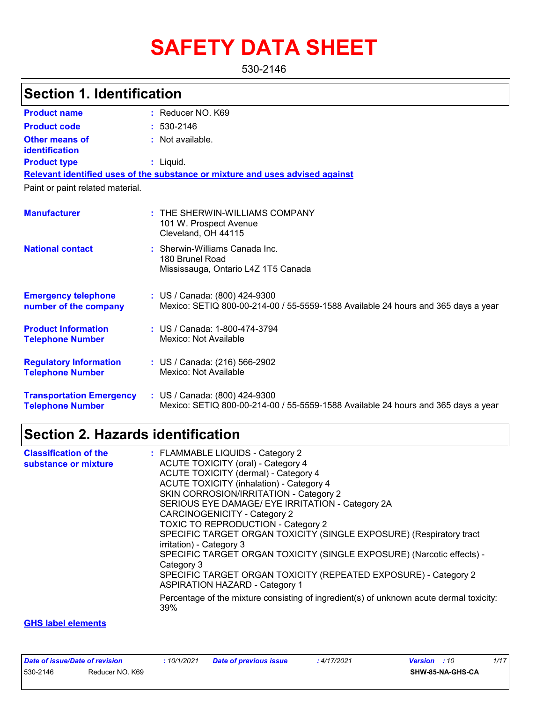# **SAFETY DATA SHEET**

530-2146

### **Section 1. Identification**

| <b>Product name</b>                                        | : Reducer NO. K69                                                                                                  |
|------------------------------------------------------------|--------------------------------------------------------------------------------------------------------------------|
| <b>Product code</b>                                        | $: 530 - 2146$                                                                                                     |
| Other means of<br>identification                           | : Not available.                                                                                                   |
| <b>Product type</b>                                        | : Liquid.                                                                                                          |
|                                                            | Relevant identified uses of the substance or mixture and uses advised against                                      |
| Paint or paint related material.                           |                                                                                                                    |
| <b>Manufacturer</b>                                        | $:$ THE SHERWIN-WILLIAMS COMPANY<br>101 W. Prospect Avenue<br>Cleveland, OH 44115                                  |
| <b>National contact</b>                                    | : Sherwin-Williams Canada Inc.<br>180 Brunel Road<br>Mississauga, Ontario L4Z 1T5 Canada                           |
| <b>Emergency telephone</b><br>number of the company        | : US / Canada: (800) 424-9300<br>Mexico: SETIQ 800-00-214-00 / 55-5559-1588 Available 24 hours and 365 days a year |
| <b>Product Information</b><br><b>Telephone Number</b>      | : US / Canada: 1-800-474-3794<br>Mexico: Not Available                                                             |
| <b>Regulatory Information</b><br><b>Telephone Number</b>   | : US / Canada: (216) 566-2902<br>Mexico: Not Available                                                             |
| <b>Transportation Emergency</b><br><b>Telephone Number</b> | : US / Canada: (800) 424-9300<br>Mexico: SETIQ 800-00-214-00 / 55-5559-1588 Available 24 hours and 365 days a year |

### **Section 2. Hazards identification**

| <b>Classification of the</b> | : FLAMMABLE LIQUIDS - Category 2                                                                         |
|------------------------------|----------------------------------------------------------------------------------------------------------|
| substance or mixture         | <b>ACUTE TOXICITY (oral) - Category 4</b>                                                                |
|                              | <b>ACUTE TOXICITY (dermal) - Category 4</b>                                                              |
|                              | <b>ACUTE TOXICITY (inhalation) - Category 4</b>                                                          |
|                              | SKIN CORROSION/IRRITATION - Category 2                                                                   |
|                              | SERIOUS EYE DAMAGE/ EYE IRRITATION - Category 2A                                                         |
|                              | <b>CARCINOGENICITY - Category 2</b>                                                                      |
|                              | TOXIC TO REPRODUCTION - Category 2                                                                       |
|                              | SPECIFIC TARGET ORGAN TOXICITY (SINGLE EXPOSURE) (Respiratory tract                                      |
|                              | irritation) - Category 3                                                                                 |
|                              | SPECIFIC TARGET ORGAN TOXICITY (SINGLE EXPOSURE) (Narcotic effects) -<br>Category 3                      |
|                              | SPECIFIC TARGET ORGAN TOXICITY (REPEATED EXPOSURE) - Category 2<br><b>ASPIRATION HAZARD - Category 1</b> |
|                              | Percentage of the mixture consisting of ingredient(s) of unknown acute dermal toxicity:<br>39%           |

#### **GHS label elements**

| Date of issue/Date of revision |                 | 10/1/2021 | Date of previous issue | 4/17/2021 | <b>Version</b> : 10 |                  | 1/17 |  |
|--------------------------------|-----------------|-----------|------------------------|-----------|---------------------|------------------|------|--|
| 530-2146                       | Reducer NO. K69 |           |                        |           |                     | SHW-85-NA-GHS-CA |      |  |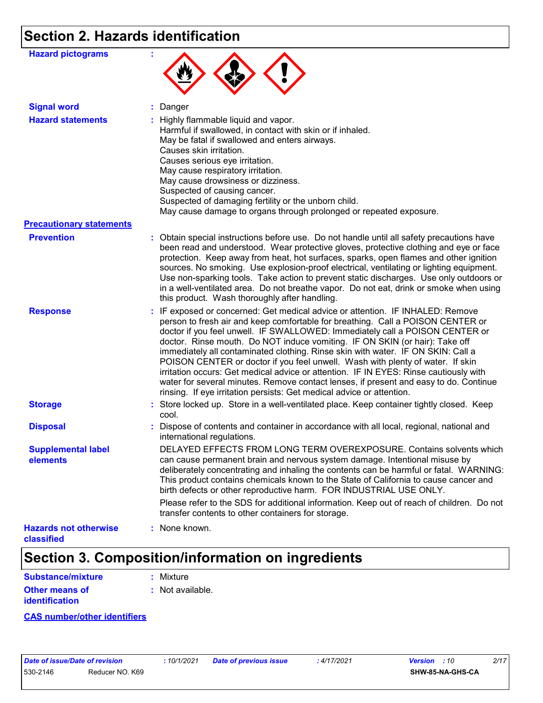## **Section 2. Hazards identification**

| <b>Hazard pictograms</b>                   |                                                                                                                                                                                                                                                                                                                                                                                                                                                                                                                                                                                                                                                                                                                                                                   |
|--------------------------------------------|-------------------------------------------------------------------------------------------------------------------------------------------------------------------------------------------------------------------------------------------------------------------------------------------------------------------------------------------------------------------------------------------------------------------------------------------------------------------------------------------------------------------------------------------------------------------------------------------------------------------------------------------------------------------------------------------------------------------------------------------------------------------|
| <b>Signal word</b>                         | : Danger                                                                                                                                                                                                                                                                                                                                                                                                                                                                                                                                                                                                                                                                                                                                                          |
| <b>Hazard statements</b>                   | : Highly flammable liquid and vapor.<br>Harmful if swallowed, in contact with skin or if inhaled.<br>May be fatal if swallowed and enters airways.<br>Causes skin irritation.<br>Causes serious eye irritation.<br>May cause respiratory irritation.<br>May cause drowsiness or dizziness.<br>Suspected of causing cancer.<br>Suspected of damaging fertility or the unborn child.<br>May cause damage to organs through prolonged or repeated exposure.                                                                                                                                                                                                                                                                                                          |
| <b>Precautionary statements</b>            |                                                                                                                                                                                                                                                                                                                                                                                                                                                                                                                                                                                                                                                                                                                                                                   |
| <b>Prevention</b>                          | : Obtain special instructions before use. Do not handle until all safety precautions have<br>been read and understood. Wear protective gloves, protective clothing and eye or face<br>protection. Keep away from heat, hot surfaces, sparks, open flames and other ignition<br>sources. No smoking. Use explosion-proof electrical, ventilating or lighting equipment.<br>Use non-sparking tools. Take action to prevent static discharges. Use only outdoors or<br>in a well-ventilated area. Do not breathe vapor. Do not eat, drink or smoke when using<br>this product. Wash thoroughly after handling.                                                                                                                                                       |
| <b>Response</b>                            | : IF exposed or concerned: Get medical advice or attention. IF INHALED: Remove<br>person to fresh air and keep comfortable for breathing. Call a POISON CENTER or<br>doctor if you feel unwell. IF SWALLOWED: Immediately call a POISON CENTER or<br>doctor. Rinse mouth. Do NOT induce vomiting. IF ON SKIN (or hair): Take off<br>immediately all contaminated clothing. Rinse skin with water. IF ON SKIN: Call a<br>POISON CENTER or doctor if you feel unwell. Wash with plenty of water. If skin<br>irritation occurs: Get medical advice or attention. IF IN EYES: Rinse cautiously with<br>water for several minutes. Remove contact lenses, if present and easy to do. Continue<br>rinsing. If eye irritation persists: Get medical advice or attention. |
| <b>Storage</b>                             | : Store locked up. Store in a well-ventilated place. Keep container tightly closed. Keep<br>cool.                                                                                                                                                                                                                                                                                                                                                                                                                                                                                                                                                                                                                                                                 |
| <b>Disposal</b>                            | : Dispose of contents and container in accordance with all local, regional, national and<br>international regulations.                                                                                                                                                                                                                                                                                                                                                                                                                                                                                                                                                                                                                                            |
| <b>Supplemental label</b><br>elements      | DELAYED EFFECTS FROM LONG TERM OVEREXPOSURE. Contains solvents which<br>can cause permanent brain and nervous system damage. Intentional misuse by<br>deliberately concentrating and inhaling the contents can be harmful or fatal. WARNING:<br>This product contains chemicals known to the State of California to cause cancer and<br>birth defects or other reproductive harm. FOR INDUSTRIAL USE ONLY.                                                                                                                                                                                                                                                                                                                                                        |
|                                            | Please refer to the SDS for additional information. Keep out of reach of children. Do not<br>transfer contents to other containers for storage.                                                                                                                                                                                                                                                                                                                                                                                                                                                                                                                                                                                                                   |
| <b>Hazards not otherwise</b><br>classified | : None known.                                                                                                                                                                                                                                                                                                                                                                                                                                                                                                                                                                                                                                                                                                                                                     |

### **Section 3. Composition/information on ingredients**

| <b>Substance/mixture</b>                | : Mixture                   |
|-----------------------------------------|-----------------------------|
| <b>Other means of</b><br>identification | $\therefore$ Not available. |

**CAS number/other identifiers**

| Date of issue/Date of revision |                 |
|--------------------------------|-----------------|
| 530-2146                       | Reducer NO. K69 |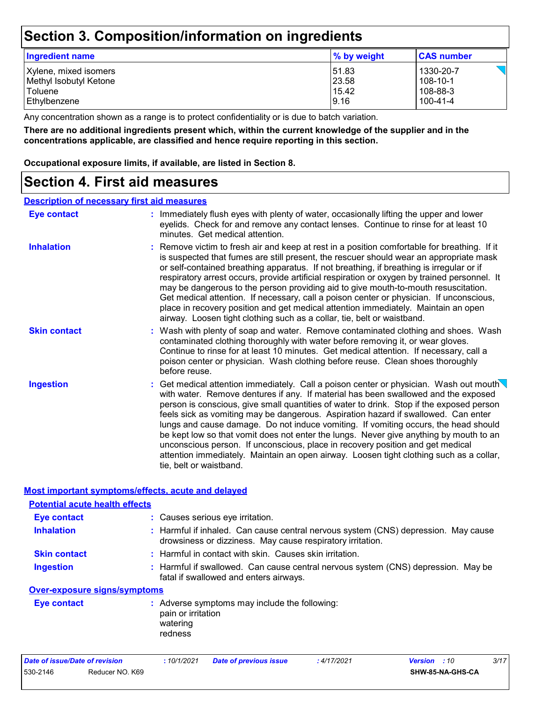### **Section 3. Composition/information on ingredients**

| Ingredient name        | $\%$ by weight | <b>CAS number</b> |
|------------------------|----------------|-------------------|
| Xylene, mixed isomers  | 151.83         | 1330-20-7         |
| Methyl Isobutyl Ketone | 23.58          | $108 - 10 - 1$    |
| Toluene                | 15.42          | 108-88-3          |
| Ethylbenzene           | 9.16           | $100 - 41 - 4$    |

Any concentration shown as a range is to protect confidentiality or is due to batch variation.

**There are no additional ingredients present which, within the current knowledge of the supplier and in the concentrations applicable, are classified and hence require reporting in this section.**

**Occupational exposure limits, if available, are listed in Section 8.**

### **Section 4. First aid measures**

#### **Description of necessary first aid measures**

| <b>Eye contact</b>                                 | : Immediately flush eyes with plenty of water, occasionally lifting the upper and lower<br>eyelids. Check for and remove any contact lenses. Continue to rinse for at least 10<br>minutes. Get medical attention.                                                                                                                                                                                                                                                                                                                                                                                                                                                                                                                                                   |
|----------------------------------------------------|---------------------------------------------------------------------------------------------------------------------------------------------------------------------------------------------------------------------------------------------------------------------------------------------------------------------------------------------------------------------------------------------------------------------------------------------------------------------------------------------------------------------------------------------------------------------------------------------------------------------------------------------------------------------------------------------------------------------------------------------------------------------|
| <b>Inhalation</b>                                  | : Remove victim to fresh air and keep at rest in a position comfortable for breathing. If it<br>is suspected that fumes are still present, the rescuer should wear an appropriate mask<br>or self-contained breathing apparatus. If not breathing, if breathing is irregular or if<br>respiratory arrest occurs, provide artificial respiration or oxygen by trained personnel. It<br>may be dangerous to the person providing aid to give mouth-to-mouth resuscitation.<br>Get medical attention. If necessary, call a poison center or physician. If unconscious,<br>place in recovery position and get medical attention immediately. Maintain an open<br>airway. Loosen tight clothing such as a collar, tie, belt or waistband.                                |
| <b>Skin contact</b>                                | : Wash with plenty of soap and water. Remove contaminated clothing and shoes. Wash<br>contaminated clothing thoroughly with water before removing it, or wear gloves.<br>Continue to rinse for at least 10 minutes. Get medical attention. If necessary, call a<br>poison center or physician. Wash clothing before reuse. Clean shoes thoroughly<br>before reuse.                                                                                                                                                                                                                                                                                                                                                                                                  |
| <b>Ingestion</b>                                   | : Get medical attention immediately. Call a poison center or physician. Wash out mouth $\setminus$<br>with water. Remove dentures if any. If material has been swallowed and the exposed<br>person is conscious, give small quantities of water to drink. Stop if the exposed person<br>feels sick as vomiting may be dangerous. Aspiration hazard if swallowed. Can enter<br>lungs and cause damage. Do not induce vomiting. If vomiting occurs, the head should<br>be kept low so that vomit does not enter the lungs. Never give anything by mouth to an<br>unconscious person. If unconscious, place in recovery position and get medical<br>attention immediately. Maintain an open airway. Loosen tight clothing such as a collar,<br>tie, belt or waistband. |
| Most important symptoms/effects, acute and delayed |                                                                                                                                                                                                                                                                                                                                                                                                                                                                                                                                                                                                                                                                                                                                                                     |
| <b>Potential acute health effects</b>              |                                                                                                                                                                                                                                                                                                                                                                                                                                                                                                                                                                                                                                                                                                                                                                     |
| <b>Eye contact</b>                                 | : Causes serious eye irritation.                                                                                                                                                                                                                                                                                                                                                                                                                                                                                                                                                                                                                                                                                                                                    |
| <b>Inhalation</b>                                  | : Harmful if inhaled. Can cause central nervous system (CNS) depression. May cause<br>drowsiness or dizziness. May cause respiratory irritation.                                                                                                                                                                                                                                                                                                                                                                                                                                                                                                                                                                                                                    |
| <b>Skin contact</b>                                | : Harmful in contact with skin. Causes skin irritation.                                                                                                                                                                                                                                                                                                                                                                                                                                                                                                                                                                                                                                                                                                             |
| <b>Ingestion</b>                                   | : Harmful if swallowed. Can cause central nervous system (CNS) depression. May be                                                                                                                                                                                                                                                                                                                                                                                                                                                                                                                                                                                                                                                                                   |

Harmful if swallowed. Can cause central nervous system (CNS) depression. May be fatal if swallowed and enters airways.

#### **Over-exposure signs/symptoms**

| Eye contact | : Adverse symptoms may include the following:<br>pain or irritation |
|-------------|---------------------------------------------------------------------|
|             | watering<br>redness                                                 |

| Date of issue/Date of revision |                 | : 10/1/2021 | <b>Date of previous issue</b> | : 4/17/2021 | <b>Version</b> : 10     | 3/17 |
|--------------------------------|-----------------|-------------|-------------------------------|-------------|-------------------------|------|
| 530-2146                       | Reducer NO. K69 |             |                               |             | <b>SHW-85-NA-GHS-CA</b> |      |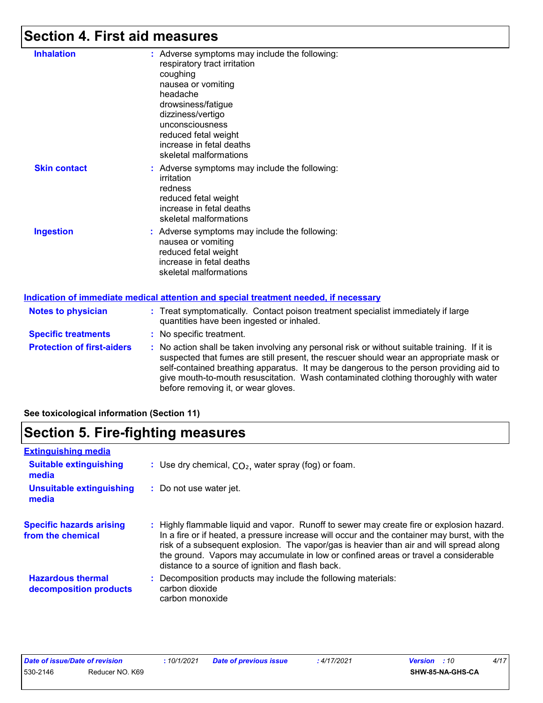### **Section 4. First aid measures**

| <b>Inhalation</b>                 |            | : Adverse symptoms may include the following:<br>respiratory tract irritation<br>coughing<br>nausea or vomiting<br>headache<br>drowsiness/fatigue<br>dizziness/vertigo<br>unconsciousness<br>reduced fetal weight<br>increase in fetal deaths<br>skeletal malformations |
|-----------------------------------|------------|-------------------------------------------------------------------------------------------------------------------------------------------------------------------------------------------------------------------------------------------------------------------------|
| <b>Skin contact</b>               |            | : Adverse symptoms may include the following:<br>irritation<br>redness<br>reduced fetal weight<br>increase in fetal deaths<br>skeletal malformations                                                                                                                    |
| <b>Ingestion</b>                  |            | : Adverse symptoms may include the following:<br>nausea or vomiting<br>reduced fetal weight<br>increase in fetal deaths<br>skeletal malformations                                                                                                                       |
|                                   |            | <b>Indication of immediate medical attention and special treatment needed, if necessary</b>                                                                                                                                                                             |
| <b>Notes to physician</b>         |            | : Treat symptomatically. Contact poison treatment specialist immediately if large<br>quantities have been ingested or inhaled.                                                                                                                                          |
| <b>Specific treatments</b>        |            | : No specific treatment.                                                                                                                                                                                                                                                |
| <b>Protection of first-aiders</b> | <b>ALC</b> | No action shall be taken involving any personal risk or without suitable training                                                                                                                                                                                       |

**Protection of first-aiders :** No action shall be taken involving any personal risk or without suitable training. If it is suspected that fumes are still present, the rescuer should wear an appropriate mask or self-contained breathing apparatus. It may be dangerous to the person providing aid to give mouth-to-mouth resuscitation. Wash contaminated clothing thoroughly with water before removing it, or wear gloves.

**See toxicological information (Section 11)**

### **Section 5. Fire-fighting measures**

| <b>Extinguishing media</b>                           |                                                                                                                                                                                                                                                                                                                                                                                                                                 |
|------------------------------------------------------|---------------------------------------------------------------------------------------------------------------------------------------------------------------------------------------------------------------------------------------------------------------------------------------------------------------------------------------------------------------------------------------------------------------------------------|
| <b>Suitable extinguishing</b><br>media               | : Use dry chemical, $CO2$ , water spray (fog) or foam.                                                                                                                                                                                                                                                                                                                                                                          |
| <b>Unsuitable extinguishing</b><br>media             | : Do not use water jet.                                                                                                                                                                                                                                                                                                                                                                                                         |
| <b>Specific hazards arising</b><br>from the chemical | : Highly flammable liquid and vapor. Runoff to sewer may create fire or explosion hazard.<br>In a fire or if heated, a pressure increase will occur and the container may burst, with the<br>risk of a subsequent explosion. The vapor/gas is heavier than air and will spread along<br>the ground. Vapors may accumulate in low or confined areas or travel a considerable<br>distance to a source of ignition and flash back. |
| <b>Hazardous thermal</b><br>decomposition products   | : Decomposition products may include the following materials:<br>carbon dioxide<br>carbon monoxide                                                                                                                                                                                                                                                                                                                              |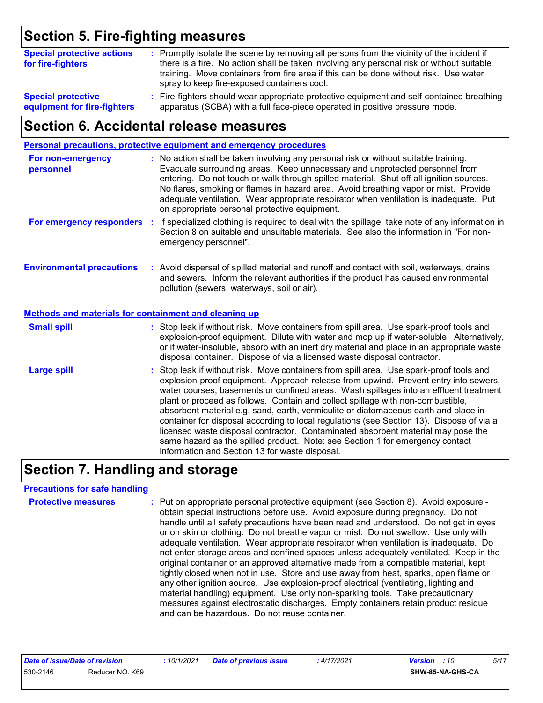### **Section 5. Fire-fighting measures**

| <b>Special protective actions</b><br>for fire-fighters | : Promptly isolate the scene by removing all persons from the vicinity of the incident if<br>there is a fire. No action shall be taken involving any personal risk or without suitable<br>training. Move containers from fire area if this can be done without risk. Use water<br>spray to keep fire-exposed containers cool. |
|--------------------------------------------------------|-------------------------------------------------------------------------------------------------------------------------------------------------------------------------------------------------------------------------------------------------------------------------------------------------------------------------------|
| <b>Special protective</b>                              | : Fire-fighters should wear appropriate protective equipment and self-contained breathing                                                                                                                                                                                                                                     |
| equipment for fire-fighters                            | apparatus (SCBA) with a full face-piece operated in positive pressure mode.                                                                                                                                                                                                                                                   |

### **Section 6. Accidental release measures**

|                                                              | Personal precautions, protective equipment and emergency procedures                                                                                                                                                                                                                                                                                                                                                                                                                                                                                                                                                                                                                                                                                                  |
|--------------------------------------------------------------|----------------------------------------------------------------------------------------------------------------------------------------------------------------------------------------------------------------------------------------------------------------------------------------------------------------------------------------------------------------------------------------------------------------------------------------------------------------------------------------------------------------------------------------------------------------------------------------------------------------------------------------------------------------------------------------------------------------------------------------------------------------------|
| For non-emergency<br>personnel                               | : No action shall be taken involving any personal risk or without suitable training.<br>Evacuate surrounding areas. Keep unnecessary and unprotected personnel from<br>entering. Do not touch or walk through spilled material. Shut off all ignition sources.<br>No flares, smoking or flames in hazard area. Avoid breathing vapor or mist. Provide<br>adequate ventilation. Wear appropriate respirator when ventilation is inadequate. Put<br>on appropriate personal protective equipment.                                                                                                                                                                                                                                                                      |
|                                                              | For emergency responders : If specialized clothing is required to deal with the spillage, take note of any information in<br>Section 8 on suitable and unsuitable materials. See also the information in "For non-<br>emergency personnel".                                                                                                                                                                                                                                                                                                                                                                                                                                                                                                                          |
| <b>Environmental precautions</b>                             | : Avoid dispersal of spilled material and runoff and contact with soil, waterways, drains<br>and sewers. Inform the relevant authorities if the product has caused environmental<br>pollution (sewers, waterways, soil or air).                                                                                                                                                                                                                                                                                                                                                                                                                                                                                                                                      |
| <b>Methods and materials for containment and cleaning up</b> |                                                                                                                                                                                                                                                                                                                                                                                                                                                                                                                                                                                                                                                                                                                                                                      |
| <b>Small spill</b>                                           | : Stop leak if without risk. Move containers from spill area. Use spark-proof tools and<br>explosion-proof equipment. Dilute with water and mop up if water-soluble. Alternatively,<br>or if water-insoluble, absorb with an inert dry material and place in an appropriate waste<br>disposal container. Dispose of via a licensed waste disposal contractor.                                                                                                                                                                                                                                                                                                                                                                                                        |
| <b>Large spill</b>                                           | : Stop leak if without risk. Move containers from spill area. Use spark-proof tools and<br>explosion-proof equipment. Approach release from upwind. Prevent entry into sewers,<br>water courses, basements or confined areas. Wash spillages into an effluent treatment<br>plant or proceed as follows. Contain and collect spillage with non-combustible,<br>absorbent material e.g. sand, earth, vermiculite or diatomaceous earth and place in<br>container for disposal according to local regulations (see Section 13). Dispose of via a<br>licensed waste disposal contractor. Contaminated absorbent material may pose the<br>same hazard as the spilled product. Note: see Section 1 for emergency contact<br>information and Section 13 for waste disposal. |

### **Section 7. Handling and storage**

#### **Precautions for safe handling**

| <b>Protective measures</b> | : Put on appropriate personal protective equipment (see Section 8). Avoid exposure -<br>obtain special instructions before use. Avoid exposure during pregnancy. Do not<br>handle until all safety precautions have been read and understood. Do not get in eyes<br>or on skin or clothing. Do not breathe vapor or mist. Do not swallow. Use only with<br>adequate ventilation. Wear appropriate respirator when ventilation is inadequate. Do<br>not enter storage areas and confined spaces unless adequately ventilated. Keep in the<br>original container or an approved alternative made from a compatible material, kept<br>tightly closed when not in use. Store and use away from heat, sparks, open flame or<br>any other ignition source. Use explosion-proof electrical (ventilating, lighting and<br>material handling) equipment. Use only non-sparking tools. Take precautionary<br>measures against electrostatic discharges. Empty containers retain product residue |
|----------------------------|---------------------------------------------------------------------------------------------------------------------------------------------------------------------------------------------------------------------------------------------------------------------------------------------------------------------------------------------------------------------------------------------------------------------------------------------------------------------------------------------------------------------------------------------------------------------------------------------------------------------------------------------------------------------------------------------------------------------------------------------------------------------------------------------------------------------------------------------------------------------------------------------------------------------------------------------------------------------------------------|
|                            | and can be hazardous. Do not reuse container.                                                                                                                                                                                                                                                                                                                                                                                                                                                                                                                                                                                                                                                                                                                                                                                                                                                                                                                                         |

| Date of issue/Date of revision |                 |
|--------------------------------|-----------------|
| 530-2146                       | Reducer NO. K69 |

*Date of issue/Date of revision* **:** *10/1/2021 Date of previous issue : 4/17/2021 Version : 10 5/17*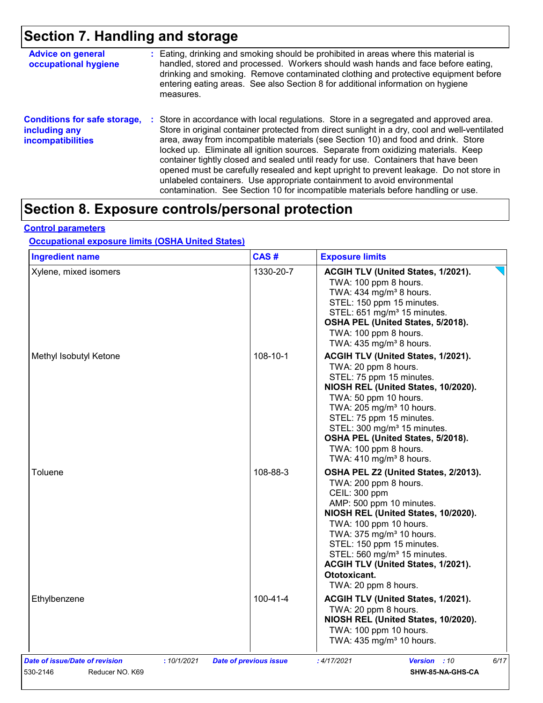## **Section 7. Handling and storage**

| <b>Advice on general</b><br>occupational hygiene                                 | : Eating, drinking and smoking should be prohibited in areas where this material is<br>handled, stored and processed. Workers should wash hands and face before eating,<br>drinking and smoking. Remove contaminated clothing and protective equipment before<br>entering eating areas. See also Section 8 for additional information on hygiene<br>measures.                                                                                                                                                                                                                                                                                                                                                      |
|----------------------------------------------------------------------------------|--------------------------------------------------------------------------------------------------------------------------------------------------------------------------------------------------------------------------------------------------------------------------------------------------------------------------------------------------------------------------------------------------------------------------------------------------------------------------------------------------------------------------------------------------------------------------------------------------------------------------------------------------------------------------------------------------------------------|
| <b>Conditions for safe storage,</b><br>including any<br><b>incompatibilities</b> | : Store in accordance with local regulations. Store in a segregated and approved area.<br>Store in original container protected from direct sunlight in a dry, cool and well-ventilated<br>area, away from incompatible materials (see Section 10) and food and drink. Store<br>locked up. Eliminate all ignition sources. Separate from oxidizing materials. Keep<br>container tightly closed and sealed until ready for use. Containers that have been<br>opened must be carefully resealed and kept upright to prevent leakage. Do not store in<br>unlabeled containers. Use appropriate containment to avoid environmental<br>contamination. See Section 10 for incompatible materials before handling or use. |

### **Section 8. Exposure controls/personal protection**

#### **Control parameters**

#### **Occupational exposure limits (OSHA United States)**

| <b>Ingredient name</b>                       | CAS#<br><b>Exposure limits</b> |                                                                                                                                                                                                                                                                                                                                                                              |
|----------------------------------------------|--------------------------------|------------------------------------------------------------------------------------------------------------------------------------------------------------------------------------------------------------------------------------------------------------------------------------------------------------------------------------------------------------------------------|
| Xylene, mixed isomers                        | 1330-20-7                      | ACGIH TLV (United States, 1/2021).<br>TWA: 100 ppm 8 hours.<br>TWA: 434 mg/m <sup>3</sup> 8 hours.<br>STEL: 150 ppm 15 minutes.<br>STEL: 651 mg/m <sup>3</sup> 15 minutes.<br>OSHA PEL (United States, 5/2018).<br>TWA: 100 ppm 8 hours.<br>TWA: $435 \text{ mg/m}^3$ 8 hours.                                                                                               |
| 108-10-1<br>Methyl Isobutyl Ketone           |                                | ACGIH TLV (United States, 1/2021).<br>TWA: 20 ppm 8 hours.<br>STEL: 75 ppm 15 minutes.<br>NIOSH REL (United States, 10/2020).<br>TWA: 50 ppm 10 hours.<br>TWA: 205 mg/m <sup>3</sup> 10 hours.<br>STEL: 75 ppm 15 minutes.<br>STEL: 300 mg/m <sup>3</sup> 15 minutes.<br>OSHA PEL (United States, 5/2018).<br>TWA: 100 ppm 8 hours.<br>TWA: $410$ mg/m <sup>3</sup> 8 hours. |
| Toluene                                      | 108-88-3                       | OSHA PEL Z2 (United States, 2/2013).<br>TWA: 200 ppm 8 hours.<br>CEIL: 300 ppm<br>AMP: 500 ppm 10 minutes.<br>NIOSH REL (United States, 10/2020).<br>TWA: 100 ppm 10 hours.<br>TWA: 375 mg/m <sup>3</sup> 10 hours.<br>STEL: 150 ppm 15 minutes.<br>STEL: 560 mg/m <sup>3</sup> 15 minutes.<br>ACGIH TLV (United States, 1/2021).<br>Ototoxicant.<br>TWA: 20 ppm 8 hours.    |
| Ethylbenzene                                 | 100-41-4                       | ACGIH TLV (United States, 1/2021).<br>TWA: 20 ppm 8 hours.<br>NIOSH REL (United States, 10/2020).<br>TWA: 100 ppm 10 hours.<br>TWA: 435 mg/m <sup>3</sup> 10 hours.                                                                                                                                                                                                          |
| Date of issue/Date of revision<br>:10/1/2021 | <b>Date of previous issue</b>  | 6/17<br>:4/17/2021<br><b>Version</b> : 10                                                                                                                                                                                                                                                                                                                                    |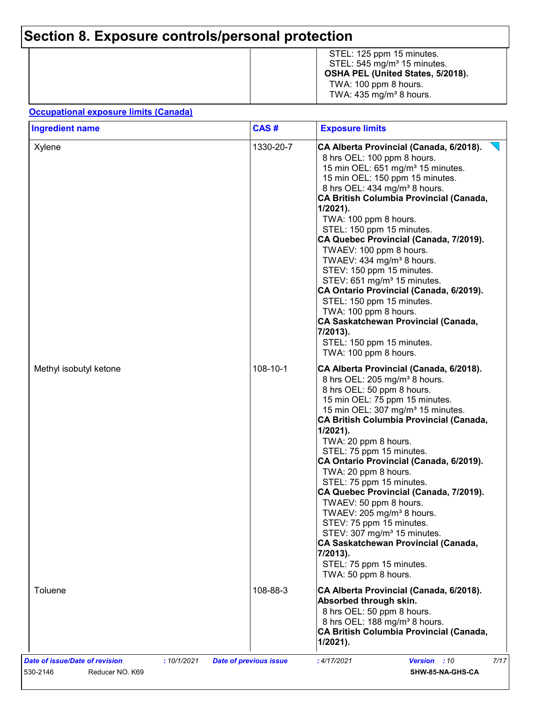## **Section 8. Exposure controls/personal protection**

|  | STEL: 125 ppm 15 minutes.<br>STEL: $545 \text{ mg/m}^3$ 15 minutes.<br>OSHA PEL (United States, 5/2018).<br>TWA: 100 ppm 8 hours.<br>TWA: $435 \text{ mg/m}^3$ 8 hours. |
|--|-------------------------------------------------------------------------------------------------------------------------------------------------------------------------|
|--|-------------------------------------------------------------------------------------------------------------------------------------------------------------------------|

#### **Occupational exposure limits (Canada)**

| <b>Ingredient name</b> | CAS#      | <b>Exposure limits</b>                                                                                                                                                                                                                                                                                                                                                                                                                                                                                                                                                                                                                                                                                                  |  |  |
|------------------------|-----------|-------------------------------------------------------------------------------------------------------------------------------------------------------------------------------------------------------------------------------------------------------------------------------------------------------------------------------------------------------------------------------------------------------------------------------------------------------------------------------------------------------------------------------------------------------------------------------------------------------------------------------------------------------------------------------------------------------------------------|--|--|
| Xylene                 | 1330-20-7 | CA Alberta Provincial (Canada, 6/2018).<br>8 hrs OEL: 100 ppm 8 hours.<br>15 min OEL: 651 mg/m <sup>3</sup> 15 minutes.<br>15 min OEL: 150 ppm 15 minutes.<br>8 hrs OEL: 434 mg/m <sup>3</sup> 8 hours.<br>CA British Columbia Provincial (Canada,<br>$1/2021$ ).<br>TWA: 100 ppm 8 hours.<br>STEL: 150 ppm 15 minutes.<br>CA Quebec Provincial (Canada, 7/2019).<br>TWAEV: 100 ppm 8 hours.<br>TWAEV: 434 mg/m <sup>3</sup> 8 hours.<br>STEV: 150 ppm 15 minutes.<br>STEV: 651 mg/m <sup>3</sup> 15 minutes.<br>CA Ontario Provincial (Canada, 6/2019).<br>STEL: 150 ppm 15 minutes.<br>TWA: 100 ppm 8 hours.<br>CA Saskatchewan Provincial (Canada,<br>7/2013).<br>STEL: 150 ppm 15 minutes.<br>TWA: 100 ppm 8 hours. |  |  |
| Methyl isobutyl ketone | 108-10-1  | CA Alberta Provincial (Canada, 6/2018).<br>8 hrs OEL: 205 mg/m <sup>3</sup> 8 hours.<br>8 hrs OEL: 50 ppm 8 hours.<br>15 min OEL: 75 ppm 15 minutes.<br>15 min OEL: 307 mg/m <sup>3</sup> 15 minutes.<br>CA British Columbia Provincial (Canada,<br>$1/2021$ ).<br>TWA: 20 ppm 8 hours.<br>STEL: 75 ppm 15 minutes.<br>CA Ontario Provincial (Canada, 6/2019).<br>TWA: 20 ppm 8 hours.<br>STEL: 75 ppm 15 minutes.<br>CA Quebec Provincial (Canada, 7/2019).<br>TWAEV: 50 ppm 8 hours.<br>TWAEV: 205 mg/m <sup>3</sup> 8 hours.<br>STEV: 75 ppm 15 minutes.<br>STEV: 307 mg/m <sup>3</sup> 15 minutes.<br>CA Saskatchewan Provincial (Canada,<br>7/2013).<br>STEL: 75 ppm 15 minutes.<br>TWA: 50 ppm 8 hours.           |  |  |
| Toluene                | 108-88-3  | CA Alberta Provincial (Canada, 6/2018).<br>Absorbed through skin.<br>8 hrs OEL: 50 ppm 8 hours.<br>8 hrs OEL: 188 mg/m <sup>3</sup> 8 hours.<br>CA British Columbia Provincial (Canada,<br>$1/2021$ ).                                                                                                                                                                                                                                                                                                                                                                                                                                                                                                                  |  |  |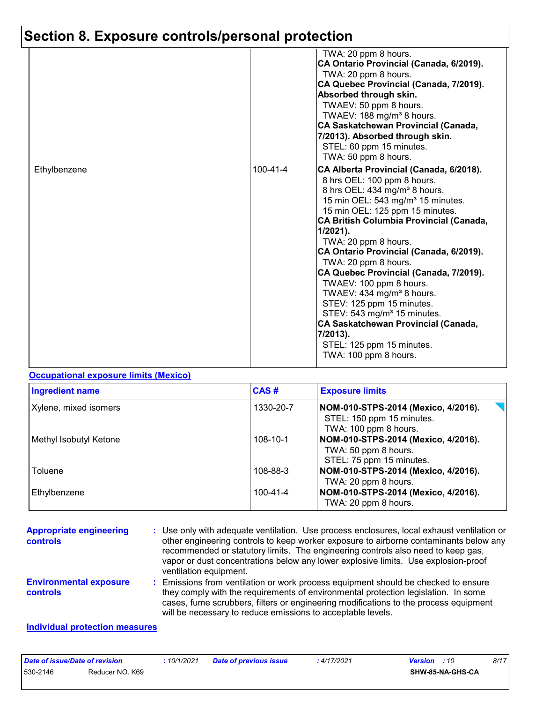## **Section 8. Exposure controls/personal protection**

|              |                | TWA: 20 ppm 8 hours.<br>CA Ontario Provincial (Canada, 6/2019).<br>TWA: 20 ppm 8 hours.<br>CA Quebec Provincial (Canada, 7/2019).<br>Absorbed through skin.<br>TWAEV: 50 ppm 8 hours.<br>TWAEV: 188 mg/m <sup>3</sup> 8 hours.<br>CA Saskatchewan Provincial (Canada,<br>7/2013). Absorbed through skin.<br>STEL: 60 ppm 15 minutes.<br>TWA: 50 ppm 8 hours.                                                                                                                                                                                                                                                                                                |
|--------------|----------------|-------------------------------------------------------------------------------------------------------------------------------------------------------------------------------------------------------------------------------------------------------------------------------------------------------------------------------------------------------------------------------------------------------------------------------------------------------------------------------------------------------------------------------------------------------------------------------------------------------------------------------------------------------------|
| Ethylbenzene | $100 - 41 - 4$ | CA Alberta Provincial (Canada, 6/2018).<br>8 hrs OEL: 100 ppm 8 hours.<br>8 hrs OEL: 434 mg/m <sup>3</sup> 8 hours.<br>15 min OEL: 543 mg/m <sup>3</sup> 15 minutes.<br>15 min OEL: 125 ppm 15 minutes.<br>CA British Columbia Provincial (Canada,<br>$1/2021$ ).<br>TWA: 20 ppm 8 hours.<br>CA Ontario Provincial (Canada, 6/2019).<br>TWA: 20 ppm 8 hours.<br>CA Quebec Provincial (Canada, 7/2019).<br>TWAEV: 100 ppm 8 hours.<br>TWAEV: 434 mg/m <sup>3</sup> 8 hours.<br>STEV: 125 ppm 15 minutes.<br>STEV: 543 mg/m <sup>3</sup> 15 minutes.<br>CA Saskatchewan Provincial (Canada,<br>7/2013).<br>STEL: 125 ppm 15 minutes.<br>TWA: 100 ppm 8 hours. |

#### **Occupational exposure limits (Mexico)**

| <b>Ingredient name</b> | CAS#      | <b>Exposure limits</b>                                                                    |
|------------------------|-----------|-------------------------------------------------------------------------------------------|
| Xylene, mixed isomers  | 1330-20-7 | NOM-010-STPS-2014 (Mexico, 4/2016).<br>STEL: 150 ppm 15 minutes.<br>TWA: 100 ppm 8 hours. |
| Methyl Isobutyl Ketone | 108-10-1  | NOM-010-STPS-2014 (Mexico, 4/2016).<br>TWA: 50 ppm 8 hours.<br>STEL: 75 ppm 15 minutes.   |
| Toluene                | 108-88-3  | NOM-010-STPS-2014 (Mexico, 4/2016).<br>TWA: 20 ppm 8 hours.                               |
| Ethylbenzene           | 100-41-4  | NOM-010-STPS-2014 (Mexico, 4/2016).<br>TWA: 20 ppm 8 hours.                               |

| <b>Appropriate engineering</b><br>controls       | : Use only with adequate ventilation. Use process enclosures, local exhaust ventilation or<br>other engineering controls to keep worker exposure to airborne contaminants below any<br>recommended or statutory limits. The engineering controls also need to keep gas,<br>vapor or dust concentrations below any lower explosive limits. Use explosion-proof<br>ventilation equipment. |
|--------------------------------------------------|-----------------------------------------------------------------------------------------------------------------------------------------------------------------------------------------------------------------------------------------------------------------------------------------------------------------------------------------------------------------------------------------|
| <b>Environmental exposure</b><br><b>controls</b> | Emissions from ventilation or work process equipment should be checked to ensure<br>they comply with the requirements of environmental protection legislation. In some<br>cases, fume scrubbers, filters or engineering modifications to the process equipment<br>will be necessary to reduce emissions to acceptable levels.                                                           |
| Individual protoction moneuros                   |                                                                                                                                                                                                                                                                                                                                                                                         |

#### **Individual protection measures**

| Date of issue/Date of revision |                 | 10/1/2021 | <b>Date of previous issue</b> | : 4/17/2021 | 8/17<br><b>Version</b> : 10 |
|--------------------------------|-----------------|-----------|-------------------------------|-------------|-----------------------------|
| 530-2146                       | Reducer NO. K69 |           |                               |             | SHW-85-NA-GHS-CA            |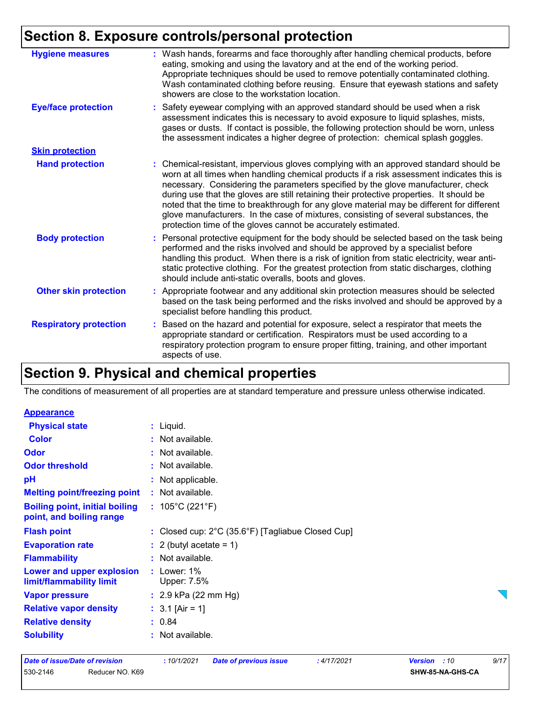### **Section 8. Exposure controls/personal protection**

| <b>Hygiene measures</b>       | : Wash hands, forearms and face thoroughly after handling chemical products, before<br>eating, smoking and using the lavatory and at the end of the working period.<br>Appropriate techniques should be used to remove potentially contaminated clothing.<br>Wash contaminated clothing before reusing. Ensure that eyewash stations and safety<br>showers are close to the workstation location.                                                                                                                                                                                                                      |
|-------------------------------|------------------------------------------------------------------------------------------------------------------------------------------------------------------------------------------------------------------------------------------------------------------------------------------------------------------------------------------------------------------------------------------------------------------------------------------------------------------------------------------------------------------------------------------------------------------------------------------------------------------------|
| <b>Eye/face protection</b>    | : Safety eyewear complying with an approved standard should be used when a risk<br>assessment indicates this is necessary to avoid exposure to liquid splashes, mists,<br>gases or dusts. If contact is possible, the following protection should be worn, unless<br>the assessment indicates a higher degree of protection: chemical splash goggles.                                                                                                                                                                                                                                                                  |
| <b>Skin protection</b>        |                                                                                                                                                                                                                                                                                                                                                                                                                                                                                                                                                                                                                        |
| <b>Hand protection</b>        | : Chemical-resistant, impervious gloves complying with an approved standard should be<br>worn at all times when handling chemical products if a risk assessment indicates this is<br>necessary. Considering the parameters specified by the glove manufacturer, check<br>during use that the gloves are still retaining their protective properties. It should be<br>noted that the time to breakthrough for any glove material may be different for different<br>glove manufacturers. In the case of mixtures, consisting of several substances, the<br>protection time of the gloves cannot be accurately estimated. |
| <b>Body protection</b>        | Personal protective equipment for the body should be selected based on the task being<br>t.<br>performed and the risks involved and should be approved by a specialist before<br>handling this product. When there is a risk of ignition from static electricity, wear anti-<br>static protective clothing. For the greatest protection from static discharges, clothing<br>should include anti-static overalls, boots and gloves.                                                                                                                                                                                     |
| <b>Other skin protection</b>  | : Appropriate footwear and any additional skin protection measures should be selected<br>based on the task being performed and the risks involved and should be approved by a<br>specialist before handling this product.                                                                                                                                                                                                                                                                                                                                                                                              |
| <b>Respiratory protection</b> | : Based on the hazard and potential for exposure, select a respirator that meets the<br>appropriate standard or certification. Respirators must be used according to a<br>respiratory protection program to ensure proper fitting, training, and other important<br>aspects of use.                                                                                                                                                                                                                                                                                                                                    |

### **Section 9. Physical and chemical properties**

The conditions of measurement of all properties are at standard temperature and pressure unless otherwise indicated.

#### **Appearance**

| <b>Physical state</b>                                             | $:$ Liquid.                                                            |
|-------------------------------------------------------------------|------------------------------------------------------------------------|
| <b>Color</b>                                                      | : Not available.                                                       |
| <b>Odor</b>                                                       | : Not available.                                                       |
| <b>Odor threshold</b>                                             | : Not available.                                                       |
| рH                                                                | : Not applicable.                                                      |
| <b>Melting point/freezing point</b>                               | : Not available.                                                       |
| <b>Boiling point, initial boiling</b><br>point, and boiling range | : $105^{\circ}$ C (221 $^{\circ}$ F)                                   |
| <b>Flash point</b>                                                | : Closed cup: $2^{\circ}$ C (35.6 $^{\circ}$ F) [Tagliabue Closed Cup] |
| <b>Evaporation rate</b>                                           | $: 2$ (butyl acetate = 1)                                              |
| <b>Flammability</b>                                               | : Not available.                                                       |
| Lower and upper explosion<br>limit/flammability limit             | : Lower: $1\%$<br>Upper: 7.5%                                          |
| <b>Vapor pressure</b>                                             | : $2.9$ kPa (22 mm Hg)                                                 |
| <b>Relative vapor density</b>                                     | : $3.1$ [Air = 1]                                                      |
| <b>Relative density</b>                                           | : 0.84                                                                 |
| <b>Solubility</b>                                                 | : Not available.                                                       |

#### *Date of issue/Date of revision* **:** *10/1/2021 Date of previous issue : 4/17/2021 Version : 10 9/17* 530-2146 Reducer NO. K69 **SHW-85-NA-GHS-CA**

 $\sum_{i=1}^{n}$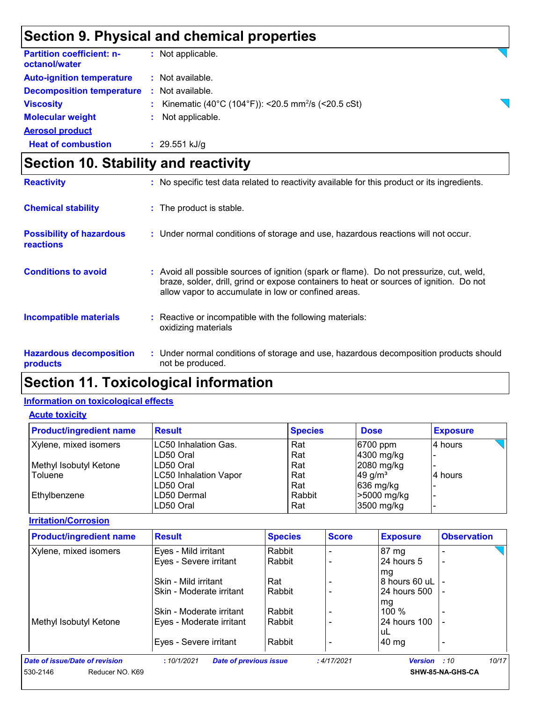### **Section 9. Physical and chemical properties**

| <b>Partition coefficient: n-</b><br>octanol/water | : Not applicable.                                                |
|---------------------------------------------------|------------------------------------------------------------------|
| <b>Auto-ignition temperature</b>                  | : Not available.                                                 |
| <b>Decomposition temperature</b>                  | : Not available.                                                 |
| <b>Viscosity</b>                                  | : Kinematic (40°C (104°F)): <20.5 mm <sup>2</sup> /s (<20.5 cSt) |
| <b>Molecular weight</b>                           | : Not applicable.                                                |
| <b>Aerosol product</b>                            |                                                                  |
| <b>Heat of combustion</b>                         | $: 29.551$ kJ/g                                                  |

### **Section 10. Stability and reactivity**

| <b>Reactivity</b>                            | : No specific test data related to reactivity available for this product or its ingredients.                                                                                                                                               |  |
|----------------------------------------------|--------------------------------------------------------------------------------------------------------------------------------------------------------------------------------------------------------------------------------------------|--|
| <b>Chemical stability</b>                    | : The product is stable.                                                                                                                                                                                                                   |  |
| <b>Possibility of hazardous</b><br>reactions | : Under normal conditions of storage and use, hazardous reactions will not occur.                                                                                                                                                          |  |
| <b>Conditions to avoid</b>                   | : Avoid all possible sources of ignition (spark or flame). Do not pressurize, cut, weld,<br>braze, solder, drill, grind or expose containers to heat or sources of ignition. Do not<br>allow vapor to accumulate in low or confined areas. |  |
| <b>Incompatible materials</b>                | Reactive or incompatible with the following materials:<br>oxidizing materials                                                                                                                                                              |  |
| <b>Hazardous decomposition</b><br>products   | : Under normal conditions of storage and use, hazardous decomposition products should<br>not be produced.                                                                                                                                  |  |

### **Section 11. Toxicological information**

#### **Information on toxicological effects**

#### **Acute toxicity**

| <b>Product/ingredient name</b> | <b>Result</b>         | <b>Species</b> | <b>Dose</b>           | <b>Exposure</b> |
|--------------------------------|-----------------------|----------------|-----------------------|-----------------|
| Xylene, mixed isomers          | LC50 Inhalation Gas.  | Rat            | 6700 ppm              | 4 hours         |
|                                | LD50 Oral             | Rat            | 4300 mg/kg            |                 |
| Methyl Isobutyl Ketone         | LD50 Oral             | Rat            | 2080 mg/kg            |                 |
| Toluene                        | LC50 Inhalation Vapor | Rat            | $49$ g/m <sup>3</sup> | 4 hours         |
|                                | LD50 Oral             | Rat            | $636$ mg/kg           |                 |
| Ethylbenzene                   | LD50 Dermal           | Rabbit         | >5000 mg/kg           |                 |
|                                | LD50 Oral             | Rat            | 3500 mg/kg            |                 |

#### **Irritation/Corrosion**

| <b>Product/ingredient name</b> | <b>Result</b>                               | <b>Species</b> | <b>Score</b> | <b>Exposure</b>     | <b>Observation</b> |
|--------------------------------|---------------------------------------------|----------------|--------------|---------------------|--------------------|
| Xylene, mixed isomers          | Eyes - Mild irritant                        | Rabbit         |              | 87 mg               |                    |
|                                | Eyes - Severe irritant                      | Rabbit         |              | 24 hours 5          |                    |
|                                |                                             |                |              | mg                  |                    |
|                                | Skin - Mild irritant                        | Rat            |              | 8 hours 60 uL       |                    |
|                                | Skin - Moderate irritant                    | Rabbit         |              | 24 hours 500        |                    |
|                                |                                             |                |              | mg                  |                    |
|                                | Skin - Moderate irritant                    | Rabbit         |              | 100 $%$             |                    |
| Methyl Isobutyl Ketone         | Eyes - Moderate irritant                    | Rabbit         |              | 24 hours 100        |                    |
|                                |                                             |                |              | uL                  |                    |
|                                | Eyes - Severe irritant                      | Rabbit         |              | $40 \mathrm{mg}$    |                    |
| Date of issue/Date of revision | <b>Date of previous issue</b><br>:10/1/2021 |                | :4/17/2021   | <b>Version</b> : 10 | 10/17              |
| Reducer NO. K69<br>530-2146    |                                             |                |              |                     | SHW-85-NA-GHS-CA   |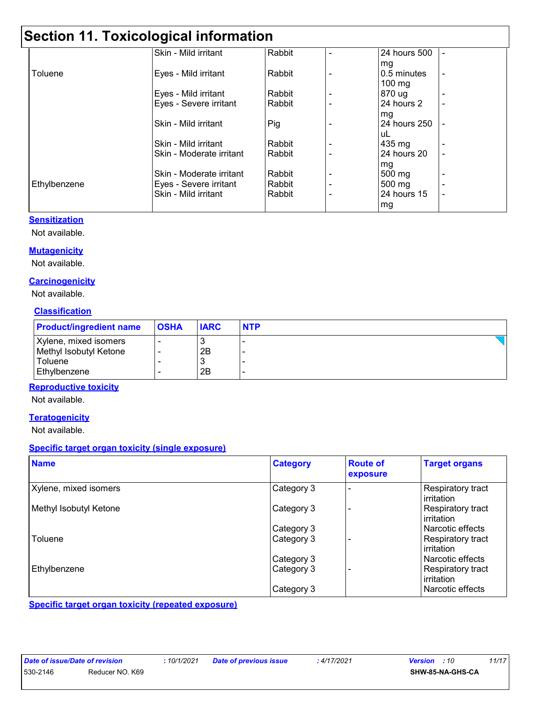### **Section 11. Toxicological information**

|              | Skin - Mild irritant     | Rabbit |                          | 24 hours 500     |  |
|--------------|--------------------------|--------|--------------------------|------------------|--|
|              |                          |        |                          | mg               |  |
| Toluene      | Eyes - Mild irritant     | Rabbit |                          | 0.5 minutes      |  |
|              |                          |        |                          | $100 \text{ mg}$ |  |
|              | Eyes - Mild irritant     | Rabbit | $\overline{\phantom{0}}$ | 870 ug           |  |
|              | Eyes - Severe irritant   | Rabbit |                          | 24 hours 2       |  |
|              |                          |        |                          | mg               |  |
|              | Skin - Mild irritant     | Pig    |                          | 24 hours 250     |  |
|              |                          |        |                          | uL               |  |
|              | Skin - Mild irritant     | Rabbit |                          | 435 mg           |  |
|              | Skin - Moderate irritant | Rabbit | $\blacksquare$           | 24 hours 20      |  |
|              |                          |        |                          | mg               |  |
|              | Skin - Moderate irritant | Rabbit | ۰                        | 500 mg           |  |
| Ethylbenzene | Eyes - Severe irritant   | Rabbit | $\overline{\phantom{a}}$ | 500 mg           |  |
|              | Skin - Mild irritant     | Rabbit | $\overline{\phantom{0}}$ | 24 hours 15      |  |
|              |                          |        |                          | mg               |  |

#### **Sensitization**

Not available.

#### **Mutagenicity**

Not available.

#### **Carcinogenicity**

Not available.

#### **Classification**

| <b>Product/ingredient name</b> | <b>OSHA</b> | <b>IARC</b> | <b>NTP</b> |
|--------------------------------|-------------|-------------|------------|
| Xylene, mixed isomers          |             | <b>N</b>    |            |
| Methyl Isobutyl Ketone         |             | 2B          |            |
| Toluene                        |             |             |            |
| Ethylbenzene                   |             | 2B          |            |

#### **Reproductive toxicity**

Not available.

#### **Teratogenicity**

Not available.

#### **Specific target organ toxicity (single exposure)**

| <b>Name</b>            | <b>Category</b> | <b>Route of</b><br>exposure | <b>Target organs</b>            |
|------------------------|-----------------|-----------------------------|---------------------------------|
| Xylene, mixed isomers  | Category 3      |                             | Respiratory tract<br>irritation |
| Methyl Isobutyl Ketone | Category 3      |                             | Respiratory tract<br>irritation |
|                        | Category 3      |                             | l Narcotic effects              |
| Toluene                | Category 3      |                             | Respiratory tract<br>irritation |
|                        | Category 3      |                             | l Narcotic effects              |
| Ethylbenzene           | Category 3      |                             | Respiratory tract<br>irritation |
|                        | Category 3      |                             | Narcotic effects                |

**Specific target organ toxicity (repeated exposure)**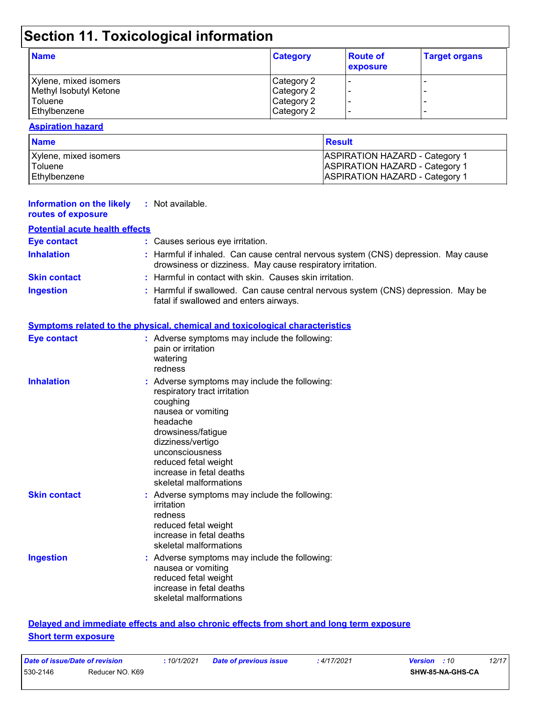## **Section 11. Toxicological information**

| <b>Name</b>            | <b>Category</b> | <b>Route of</b><br>exposure | <b>Target organs</b> |
|------------------------|-----------------|-----------------------------|----------------------|
| Xylene, mixed isomers  | Category 2      |                             |                      |
| Methyl Isobutyl Ketone | Category 2      |                             | -                    |
| <b>Toluene</b>         | Category 2      |                             |                      |
| Ethylbenzene           | Category 2      |                             | -                    |

#### **Aspiration hazard**

| <b>Name</b>           | Result                                |
|-----------------------|---------------------------------------|
| Xylene, mixed isomers | <b>ASPIRATION HAZARD - Category 1</b> |
| Toluene               | <b>ASPIRATION HAZARD - Category 1</b> |
| Ethvlbenzene          | <b>ASPIRATION HAZARD - Category 1</b> |

| <b>Information on the likely</b><br>routes of exposure | : Not available.                                                                                                                                                                                                                                                        |
|--------------------------------------------------------|-------------------------------------------------------------------------------------------------------------------------------------------------------------------------------------------------------------------------------------------------------------------------|
| <b>Potential acute health effects</b>                  |                                                                                                                                                                                                                                                                         |
| <b>Eye contact</b>                                     | : Causes serious eye irritation.                                                                                                                                                                                                                                        |
| <b>Inhalation</b>                                      | : Harmful if inhaled. Can cause central nervous system (CNS) depression. May cause<br>drowsiness or dizziness. May cause respiratory irritation.                                                                                                                        |
| <b>Skin contact</b>                                    | : Harmful in contact with skin. Causes skin irritation.                                                                                                                                                                                                                 |
| <b>Ingestion</b>                                       | : Harmful if swallowed. Can cause central nervous system (CNS) depression. May be<br>fatal if swallowed and enters airways.                                                                                                                                             |
|                                                        | <b>Symptoms related to the physical, chemical and toxicological characteristics</b>                                                                                                                                                                                     |
| <b>Eye contact</b>                                     | : Adverse symptoms may include the following:<br>pain or irritation<br>watering<br>redness                                                                                                                                                                              |
| <b>Inhalation</b>                                      | : Adverse symptoms may include the following:<br>respiratory tract irritation<br>coughing<br>nausea or vomiting<br>headache<br>drowsiness/fatigue<br>dizziness/vertigo<br>unconsciousness<br>reduced fetal weight<br>increase in fetal deaths<br>skeletal malformations |
| <b>Skin contact</b>                                    | : Adverse symptoms may include the following:<br>irritation<br>redness<br>reduced fetal weight<br>increase in fetal deaths<br>skeletal malformations                                                                                                                    |
| <b>Ingestion</b>                                       | : Adverse symptoms may include the following:<br>nausea or vomiting<br>reduced fetal weight<br>increase in fetal deaths<br>skeletal malformations                                                                                                                       |
|                                                        | Delayed and immediate effects and also chronic effects from short and long term exposure                                                                                                                                                                                |

#### **Short term exposure**

| Date of issue/Date of revision |                 | 10/1/2021 | Date of previous issue | : 4/17/2021 | <b>Version</b> : 10 |                  | 12/17 |
|--------------------------------|-----------------|-----------|------------------------|-------------|---------------------|------------------|-------|
| 530-2146                       | Reducer NO. K69 |           |                        |             |                     | SHW-85-NA-GHS-CA |       |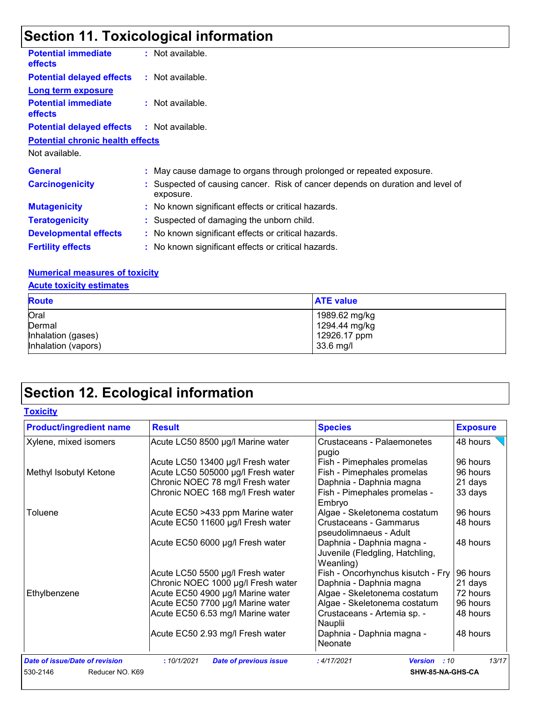## **Section 11. Toxicological information**

| <b>Potential immediate</b><br><b>effects</b>      | : Not available.                                                                            |
|---------------------------------------------------|---------------------------------------------------------------------------------------------|
| <b>Potential delayed effects : Not available.</b> |                                                                                             |
| <b>Long term exposure</b>                         |                                                                                             |
| <b>Potential immediate</b><br><b>effects</b>      | : Not available.                                                                            |
| <b>Potential delayed effects : Not available.</b> |                                                                                             |
| <b>Potential chronic health effects</b>           |                                                                                             |
| Not available.                                    |                                                                                             |
| <b>General</b>                                    | : May cause damage to organs through prolonged or repeated exposure.                        |
| <b>Carcinogenicity</b>                            | : Suspected of causing cancer. Risk of cancer depends on duration and level of<br>exposure. |
| <b>Mutagenicity</b>                               | : No known significant effects or critical hazards.                                         |
| <b>Teratogenicity</b>                             | : Suspected of damaging the unborn child.                                                   |
| <b>Developmental effects</b>                      | : No known significant effects or critical hazards.                                         |
| <b>Fertility effects</b>                          | : No known significant effects or critical hazards.                                         |
|                                                   |                                                                                             |

#### **Numerical measures of toxicity**

|  |  |  | <b>Acute toxicity estimates</b> |
|--|--|--|---------------------------------|
|--|--|--|---------------------------------|

| <b>Route</b>        | <b>ATE value</b> |
|---------------------|------------------|
| Oral                | 1989.62 mg/kg    |
| Dermal              | 1294.44 mg/kg    |
| Inhalation (gases)  | 12926.17 ppm     |
| Inhalation (vapors) | 33.6 mg/l        |

## **Section 12. Ecological information**

### **Toxicity**

| <b>Product/ingredient name</b> | <b>Result</b>                               | <b>Species</b>                                                            | <b>Exposure</b> |
|--------------------------------|---------------------------------------------|---------------------------------------------------------------------------|-----------------|
| Xylene, mixed isomers          | Acute LC50 8500 µg/l Marine water           | Crustaceans - Palaemonetes<br>pugio                                       | 48 hours        |
|                                | Acute LC50 13400 µg/l Fresh water           | Fish - Pimephales promelas                                                | 96 hours        |
| Methyl Isobutyl Ketone         | Acute LC50 505000 µg/l Fresh water          | Fish - Pimephales promelas                                                | 96 hours        |
|                                | Chronic NOEC 78 mg/l Fresh water            | Daphnia - Daphnia magna                                                   | 21 days         |
|                                | Chronic NOEC 168 mg/l Fresh water           | Fish - Pimephales promelas -<br>Embryo                                    | 33 days         |
| Toluene                        | Acute EC50 >433 ppm Marine water            | Algae - Skeletonema costatum                                              | 96 hours        |
|                                | Acute EC50 11600 µg/l Fresh water           | Crustaceans - Gammarus<br>pseudolimnaeus - Adult                          | 48 hours        |
|                                | Acute EC50 6000 µg/l Fresh water            | Daphnia - Daphnia magna -<br>Juvenile (Fledgling, Hatchling,<br>Weanling) | 48 hours        |
|                                | Acute LC50 5500 µg/l Fresh water            | Fish - Oncorhynchus kisutch - Fry                                         | 96 hours        |
|                                | Chronic NOEC 1000 µg/l Fresh water          | Daphnia - Daphnia magna                                                   | 21 days         |
| Ethylbenzene                   | Acute EC50 4900 µg/l Marine water           | Algae - Skeletonema costatum                                              | 72 hours        |
|                                | Acute EC50 7700 µg/l Marine water           | Algae - Skeletonema costatum                                              | 96 hours        |
|                                | Acute EC50 6.53 mg/l Marine water           | Crustaceans - Artemia sp. -<br>Nauplii                                    | 48 hours        |
|                                | Acute EC50 2.93 mg/l Fresh water            | Daphnia - Daphnia magna -<br>Neonate                                      | 48 hours        |
| Date of issue/Date of revision | :10/1/2021<br><b>Date of previous issue</b> | :4/17/2021<br><b>Version</b> : 10                                         | 13/17           |
| 530-2146<br>Reducer NO. K69    |                                             | SHW-85-NA-GHS-CA                                                          |                 |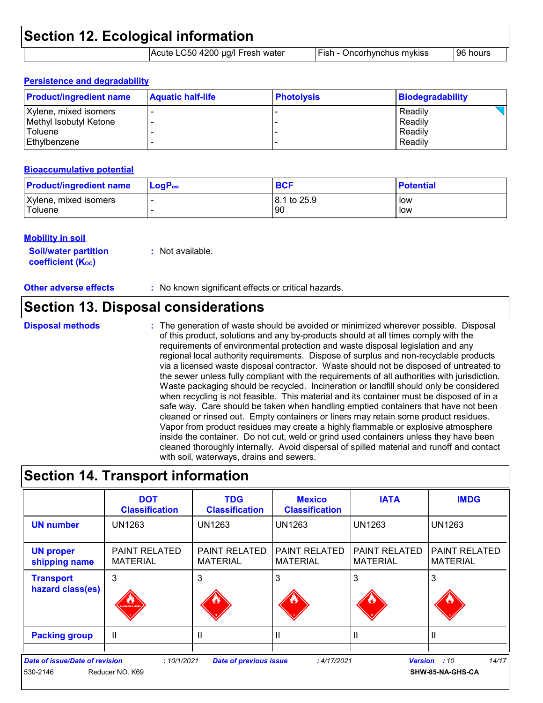| <b>Section 12. Ecological information</b> |                                  |                                   |           |  |
|-------------------------------------------|----------------------------------|-----------------------------------|-----------|--|
|                                           | Acute LC50 4200 µg/l Fresh water | <b>Fish - Oncorhynchus mykiss</b> | 196 hours |  |

#### **Persistence and degradability**

| <b>Product/ingredient name</b>                                                      | <b>Aquatic half-life</b> | <b>Photolysis</b> | Biodegradability                         |
|-------------------------------------------------------------------------------------|--------------------------|-------------------|------------------------------------------|
| Xylene, mixed isomers<br>Methyl Isobutyl Ketone<br><b>Toluene</b><br>l Ethvlbenzene |                          |                   | Readily<br>Readily<br>Readily<br>Readily |

#### **Bioaccumulative potential**

| <b>Product/ingredient name</b> | $\mathsf{LogP}_\mathsf{ow}$ | <b>BCF</b>  | <b>Potential</b> |
|--------------------------------|-----------------------------|-------------|------------------|
| Xylene, mixed isomers          |                             | 8.1 to 25.9 | low              |
| Toluene                        |                             | <b>90</b>   | low              |

#### **Mobility in soil**

| <b>Soil/water partition</b> | : Not available. |
|-----------------------------|------------------|
| <b>coefficient (Koc)</b>    |                  |

**Other adverse effects** : No known significant effects or critical hazards.

### **Section 13. Disposal considerations**

#### **Disposal methods :**

The generation of waste should be avoided or minimized wherever possible. Disposal of this product, solutions and any by-products should at all times comply with the requirements of environmental protection and waste disposal legislation and any regional local authority requirements. Dispose of surplus and non-recyclable products via a licensed waste disposal contractor. Waste should not be disposed of untreated to the sewer unless fully compliant with the requirements of all authorities with jurisdiction. Waste packaging should be recycled. Incineration or landfill should only be considered when recycling is not feasible. This material and its container must be disposed of in a safe way. Care should be taken when handling emptied containers that have not been cleaned or rinsed out. Empty containers or liners may retain some product residues. Vapor from product residues may create a highly flammable or explosive atmosphere inside the container. Do not cut, weld or grind used containers unless they have been cleaned thoroughly internally. Avoid dispersal of spilled material and runoff and contact with soil, waterways, drains and sewers.

### **Section 14. Transport information**

|                                                   | <b>DOT</b><br><b>Classification</b>     | <b>TDG</b><br><b>Classification</b>     | <b>Mexico</b><br><b>Classification</b>  | <b>IATA</b>                             | <b>IMDG</b>                             |
|---------------------------------------------------|-----------------------------------------|-----------------------------------------|-----------------------------------------|-----------------------------------------|-----------------------------------------|
| <b>UN number</b>                                  | UN1263                                  | UN1263                                  | UN1263                                  | <b>UN1263</b>                           | <b>UN1263</b>                           |
| <b>UN proper</b><br>shipping name                 | <b>PAINT RELATED</b><br><b>MATERIAL</b> | <b>PAINT RELATED</b><br><b>MATERIAL</b> | <b>PAINT RELATED</b><br><b>MATERIAL</b> | <b>PAINT RELATED</b><br><b>MATERIAL</b> | <b>PAINT RELATED</b><br><b>MATERIAL</b> |
| <b>Transport</b><br>hazard class(es)              | 3<br><b>ANNABLE UQU</b>                 | 3                                       | 3                                       | 3                                       | 3                                       |
| <b>Packing group</b>                              | $\mathbf{I}$                            | Ш                                       |                                         | Ш                                       |                                         |
| <b>Date of issue/Date of revision</b><br>530-2146 | :10/1/2021<br>Reducer NO. K69           | <b>Date of previous issue</b>           | : 4/17/2021                             | <b>Version</b>                          | 14/17<br>:10<br>SHW-85-NA-GHS-CA        |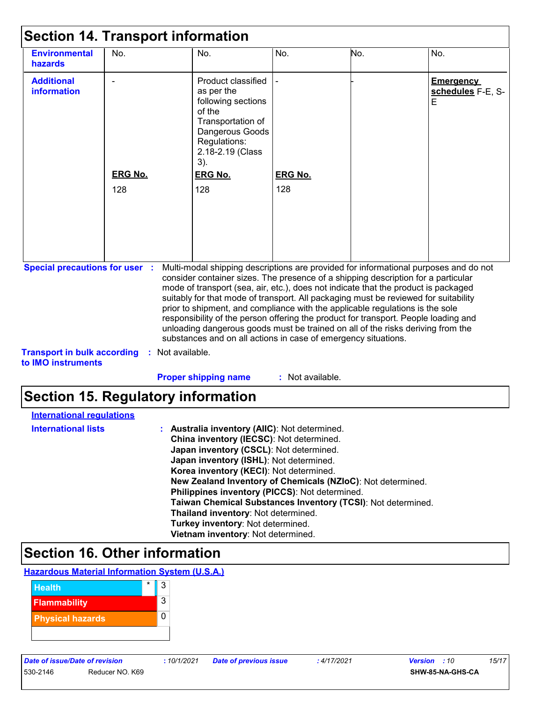| <b>Environmental</b><br>hazards                          | No.            | No.                                                                                                                                                                                                                                                                                                                                            | No.              | No. | No.                                        |
|----------------------------------------------------------|----------------|------------------------------------------------------------------------------------------------------------------------------------------------------------------------------------------------------------------------------------------------------------------------------------------------------------------------------------------------|------------------|-----|--------------------------------------------|
| <b>Additional</b><br>information                         |                | Product classified<br>as per the<br>following sections<br>of the<br>Transportation of<br>Dangerous Goods<br>Regulations:<br>2.18-2.19 (Class<br>3).                                                                                                                                                                                            |                  |     | <b>Emergency</b><br>schedules F-E, S-<br>Е |
|                                                          | <b>ERG No.</b> | <b>ERG No.</b>                                                                                                                                                                                                                                                                                                                                 | <b>ERG No.</b>   |     |                                            |
| <b>Special precautions for user :</b>                    | 128            | 128<br>Multi-modal shipping descriptions are provided for informational purposes and do not<br>consider container sizes. The presence of a shipping description for a particular<br>mode of transport (sea, air, etc.), does not indicate that the product is packaged                                                                         | 128              |     |                                            |
|                                                          |                | suitably for that mode of transport. All packaging must be reviewed for suitability<br>prior to shipment, and compliance with the applicable regulations is the sole<br>responsibility of the person offering the product for transport. People loading and<br>unloading dangerous goods must be trained on all of the risks deriving from the |                  |     |                                            |
| <b>Transport in bulk according</b><br>to IMO instruments | ÷.             | substances and on all actions in case of emergency situations.<br>Not available.                                                                                                                                                                                                                                                               |                  |     |                                            |
|                                                          |                | <b>Proper shipping name</b>                                                                                                                                                                                                                                                                                                                    | : Not available. |     |                                            |
| <b>Section 15. Regulatory information</b>                |                |                                                                                                                                                                                                                                                                                                                                                |                  |     |                                            |
|                                                          |                |                                                                                                                                                                                                                                                                                                                                                |                  |     |                                            |
| <b>International regulations</b>                         |                |                                                                                                                                                                                                                                                                                                                                                |                  |     |                                            |
| <b>International lists</b>                               |                | : Australia inventory (AIIC): Not determined.<br>China inventory (IECSC): Not determined.<br>Japan inventory (CSCL): Not determined.<br>Japan inventory (ISHL): Not determined.                                                                                                                                                                |                  |     |                                            |

### **Section 16. Other information**



530-2146 Reducer NO. K69 **SHW-85-NA-GHS-CA**

**Korea inventory (KECI)**: Not determined.

**Thailand inventory**: Not determined. **Turkey inventory**: Not determined. **Vietnam inventory**: Not determined.

**Philippines inventory (PICCS)**: Not determined.

**New Zealand Inventory of Chemicals (NZIoC)**: Not determined.

**Taiwan Chemical Substances Inventory (TCSI)**: Not determined.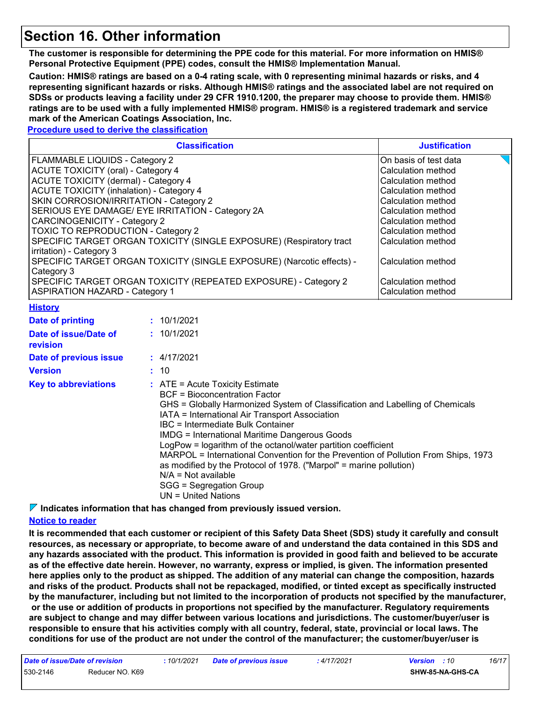### **Section 16. Other information**

**The customer is responsible for determining the PPE code for this material. For more information on HMIS® Personal Protective Equipment (PPE) codes, consult the HMIS® Implementation Manual.**

**Caution: HMIS® ratings are based on a 0-4 rating scale, with 0 representing minimal hazards or risks, and 4 representing significant hazards or risks. Although HMIS® ratings and the associated label are not required on SDSs or products leaving a facility under 29 CFR 1910.1200, the preparer may choose to provide them. HMIS® ratings are to be used with a fully implemented HMIS® program. HMIS® is a registered trademark and service mark of the American Coatings Association, Inc.**

#### **Procedure used to derive the classification**

|                                                                                                                                                                                                                                                                                                                                                                                                                                                                                                                                                                                                                                                           | <b>Justification</b>      |                                                                       |                    |
|-----------------------------------------------------------------------------------------------------------------------------------------------------------------------------------------------------------------------------------------------------------------------------------------------------------------------------------------------------------------------------------------------------------------------------------------------------------------------------------------------------------------------------------------------------------------------------------------------------------------------------------------------------------|---------------------------|-----------------------------------------------------------------------|--------------------|
| FLAMMABLE LIQUIDS - Category 2                                                                                                                                                                                                                                                                                                                                                                                                                                                                                                                                                                                                                            | On basis of test data     |                                                                       |                    |
| <b>ACUTE TOXICITY (oral) - Category 4</b>                                                                                                                                                                                                                                                                                                                                                                                                                                                                                                                                                                                                                 | Calculation method        |                                                                       |                    |
| <b>ACUTE TOXICITY (dermal) - Category 4</b>                                                                                                                                                                                                                                                                                                                                                                                                                                                                                                                                                                                                               |                           |                                                                       | Calculation method |
| <b>ACUTE TOXICITY (inhalation) - Category 4</b>                                                                                                                                                                                                                                                                                                                                                                                                                                                                                                                                                                                                           |                           |                                                                       | Calculation method |
| SKIN CORROSION/IRRITATION - Category 2                                                                                                                                                                                                                                                                                                                                                                                                                                                                                                                                                                                                                    |                           |                                                                       | Calculation method |
| SERIOUS EYE DAMAGE/ EYE IRRITATION - Category 2A                                                                                                                                                                                                                                                                                                                                                                                                                                                                                                                                                                                                          |                           |                                                                       | Calculation method |
| <b>CARCINOGENICITY - Category 2</b>                                                                                                                                                                                                                                                                                                                                                                                                                                                                                                                                                                                                                       |                           |                                                                       | Calculation method |
| <b>TOXIC TO REPRODUCTION - Category 2</b>                                                                                                                                                                                                                                                                                                                                                                                                                                                                                                                                                                                                                 |                           |                                                                       | Calculation method |
|                                                                                                                                                                                                                                                                                                                                                                                                                                                                                                                                                                                                                                                           |                           | SPECIFIC TARGET ORGAN TOXICITY (SINGLE EXPOSURE) (Respiratory tract   | Calculation method |
| irritation) - Category 3<br>Category 3                                                                                                                                                                                                                                                                                                                                                                                                                                                                                                                                                                                                                    |                           | SPECIFIC TARGET ORGAN TOXICITY (SINGLE EXPOSURE) (Narcotic effects) - | Calculation method |
|                                                                                                                                                                                                                                                                                                                                                                                                                                                                                                                                                                                                                                                           |                           | SPECIFIC TARGET ORGAN TOXICITY (REPEATED EXPOSURE) - Category 2       | Calculation method |
| <b>ASPIRATION HAZARD - Category 1</b>                                                                                                                                                                                                                                                                                                                                                                                                                                                                                                                                                                                                                     | <b>Calculation method</b> |                                                                       |                    |
| <b>History</b>                                                                                                                                                                                                                                                                                                                                                                                                                                                                                                                                                                                                                                            |                           |                                                                       |                    |
| <b>Date of printing</b>                                                                                                                                                                                                                                                                                                                                                                                                                                                                                                                                                                                                                                   |                           | : 10/1/2021                                                           |                    |
| Date of issue/Date of<br>revision                                                                                                                                                                                                                                                                                                                                                                                                                                                                                                                                                                                                                         |                           | : 10/1/2021                                                           |                    |
| Date of previous issue                                                                                                                                                                                                                                                                                                                                                                                                                                                                                                                                                                                                                                    |                           | : 4/17/2021                                                           |                    |
| <b>Version</b>                                                                                                                                                                                                                                                                                                                                                                                                                                                                                                                                                                                                                                            |                           | : 10                                                                  |                    |
| <b>Key to abbreviations</b><br>$:$ ATE = Acute Toxicity Estimate<br><b>BCF = Bioconcentration Factor</b><br>GHS = Globally Harmonized System of Classification and Labelling of Chemicals<br>IATA = International Air Transport Association<br><b>IBC</b> = Intermediate Bulk Container<br><b>IMDG = International Maritime Dangerous Goods</b><br>LogPow = logarithm of the octanol/water partition coefficient<br>MARPOL = International Convention for the Prevention of Pollution From Ships, 1973<br>as modified by the Protocol of 1978. ("Marpol" = marine pollution)<br>$N/A = Not available$<br>SGG = Segregation Group<br>$UN = United Nations$ |                           |                                                                       |                    |

**Indicates information that has changed from previously issued version.**

#### **Notice to reader**

**It is recommended that each customer or recipient of this Safety Data Sheet (SDS) study it carefully and consult resources, as necessary or appropriate, to become aware of and understand the data contained in this SDS and any hazards associated with the product. This information is provided in good faith and believed to be accurate as of the effective date herein. However, no warranty, express or implied, is given. The information presented here applies only to the product as shipped. The addition of any material can change the composition, hazards and risks of the product. Products shall not be repackaged, modified, or tinted except as specifically instructed by the manufacturer, including but not limited to the incorporation of products not specified by the manufacturer, or the use or addition of products in proportions not specified by the manufacturer. Regulatory requirements are subject to change and may differ between various locations and jurisdictions. The customer/buyer/user is responsible to ensure that his activities comply with all country, federal, state, provincial or local laws. The conditions for use of the product are not under the control of the manufacturer; the customer/buyer/user is** 

| Date of issue/Date of revision |                 | 10/1/2021 | <b>Date of previous issue</b> | 4/17/2021 | 16/17<br><b>Version</b> : 10 |
|--------------------------------|-----------------|-----------|-------------------------------|-----------|------------------------------|
| 530-2146                       | Reducer NO. K69 |           |                               |           | SHW-85-NA-GHS-CA             |